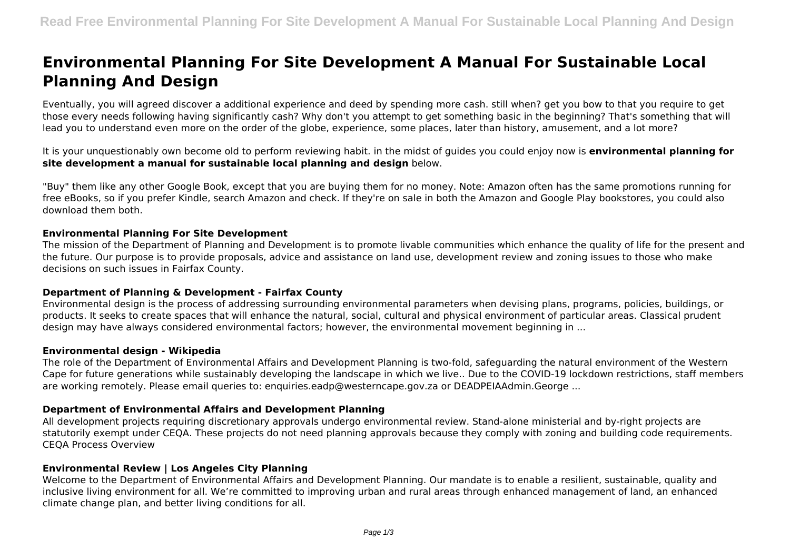# **Environmental Planning For Site Development A Manual For Sustainable Local Planning And Design**

Eventually, you will agreed discover a additional experience and deed by spending more cash. still when? get you bow to that you require to get those every needs following having significantly cash? Why don't you attempt to get something basic in the beginning? That's something that will lead you to understand even more on the order of the globe, experience, some places, later than history, amusement, and a lot more?

It is your unquestionably own become old to perform reviewing habit. in the midst of guides you could enjoy now is **environmental planning for site development a manual for sustainable local planning and design** below.

"Buy" them like any other Google Book, except that you are buying them for no money. Note: Amazon often has the same promotions running for free eBooks, so if you prefer Kindle, search Amazon and check. If they're on sale in both the Amazon and Google Play bookstores, you could also download them both.

#### **Environmental Planning For Site Development**

The mission of the Department of Planning and Development is to promote livable communities which enhance the quality of life for the present and the future. Our purpose is to provide proposals, advice and assistance on land use, development review and zoning issues to those who make decisions on such issues in Fairfax County.

## **Department of Planning & Development - Fairfax County**

Environmental design is the process of addressing surrounding environmental parameters when devising plans, programs, policies, buildings, or products. It seeks to create spaces that will enhance the natural, social, cultural and physical environment of particular areas. Classical prudent design may have always considered environmental factors; however, the environmental movement beginning in ...

#### **Environmental design - Wikipedia**

The role of the Department of Environmental Affairs and Development Planning is two-fold, safeguarding the natural environment of the Western Cape for future generations while sustainably developing the landscape in which we live.. Due to the COVID-19 lockdown restrictions, staff members are working remotely. Please email queries to: enquiries.eadp@westerncape.gov.za or DEADPEIAAdmin.George ...

## **Department of Environmental Affairs and Development Planning**

All development projects requiring discretionary approvals undergo environmental review. Stand-alone ministerial and by-right projects are statutorily exempt under CEQA. These projects do not need planning approvals because they comply with zoning and building code requirements. CEQA Process Overview

#### **Environmental Review | Los Angeles City Planning**

Welcome to the Department of Environmental Affairs and Development Planning. Our mandate is to enable a resilient, sustainable, quality and inclusive living environment for all. We're committed to improving urban and rural areas through enhanced management of land, an enhanced climate change plan, and better living conditions for all.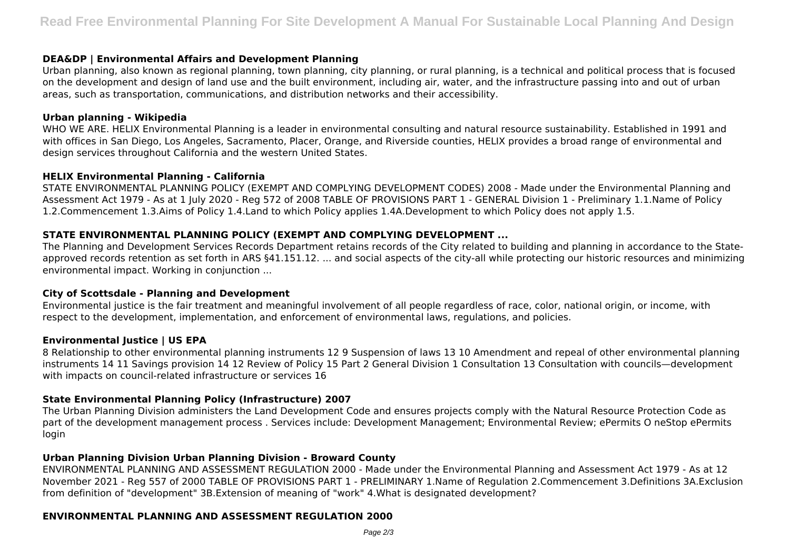## **DEA&DP | Environmental Affairs and Development Planning**

Urban planning, also known as regional planning, town planning, city planning, or rural planning, is a technical and political process that is focused on the development and design of land use and the built environment, including air, water, and the infrastructure passing into and out of urban areas, such as transportation, communications, and distribution networks and their accessibility.

#### **Urban planning - Wikipedia**

WHO WE ARE. HELIX Environmental Planning is a leader in environmental consulting and natural resource sustainability. Established in 1991 and with offices in San Diego, Los Angeles, Sacramento, Placer, Orange, and Riverside counties, HELIX provides a broad range of environmental and design services throughout California and the western United States.

## **HELIX Environmental Planning - California**

STATE ENVIRONMENTAL PLANNING POLICY (EXEMPT AND COMPLYING DEVELOPMENT CODES) 2008 - Made under the Environmental Planning and Assessment Act 1979 - As at 1 July 2020 - Reg 572 of 2008 TABLE OF PROVISIONS PART 1 - GENERAL Division 1 - Preliminary 1.1.Name of Policy 1.2.Commencement 1.3.Aims of Policy 1.4.Land to which Policy applies 1.4A.Development to which Policy does not apply 1.5.

# **STATE ENVIRONMENTAL PLANNING POLICY (EXEMPT AND COMPLYING DEVELOPMENT ...**

The Planning and Development Services Records Department retains records of the City related to building and planning in accordance to the Stateapproved records retention as set forth in ARS §41.151.12. ... and social aspects of the city-all while protecting our historic resources and minimizing environmental impact. Working in conjunction ...

## **City of Scottsdale - Planning and Development**

Environmental justice is the fair treatment and meaningful involvement of all people regardless of race, color, national origin, or income, with respect to the development, implementation, and enforcement of environmental laws, regulations, and policies.

## **Environmental Justice | US EPA**

8 Relationship to other environmental planning instruments 12 9 Suspension of laws 13 10 Amendment and repeal of other environmental planning instruments 14 11 Savings provision 14 12 Review of Policy 15 Part 2 General Division 1 Consultation 13 Consultation with councils—development with impacts on council-related infrastructure or services 16

## **State Environmental Planning Policy (Infrastructure) 2007**

The Urban Planning Division administers the Land Development Code and ensures projects comply with the Natural Resource Protection Code as part of the development management process . Services include: Development Management; Environmental Review; ePermits O neStop ePermits login

# **Urban Planning Division Urban Planning Division - Broward County**

ENVIRONMENTAL PLANNING AND ASSESSMENT REGULATION 2000 - Made under the Environmental Planning and Assessment Act 1979 - As at 12 November 2021 - Reg 557 of 2000 TABLE OF PROVISIONS PART 1 - PRELIMINARY 1.Name of Regulation 2.Commencement 3.Definitions 3A.Exclusion from definition of "development" 3B.Extension of meaning of "work" 4.What is designated development?

## **ENVIRONMENTAL PLANNING AND ASSESSMENT REGULATION 2000**